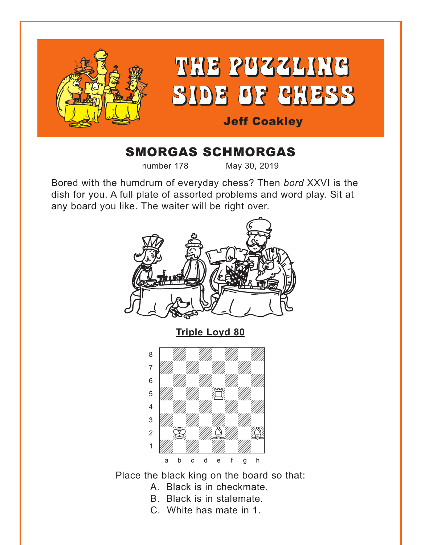<span id="page-0-0"></span>

# SMORGAS SCHMORGAS

number 178 May 30, 2019

Bored with the humdrum of everyday chess? Then *bord* XXVI is the dish for you. A full plate of assorted problems and word play. Sit at any board you like. The waiter will be right over.



**[Triple Loyd 80](#page-7-0)**



Place the black king on the board so that:

- A. Black is in checkmate.
- B. Black is in stalemate.
- C. White has mate in 1.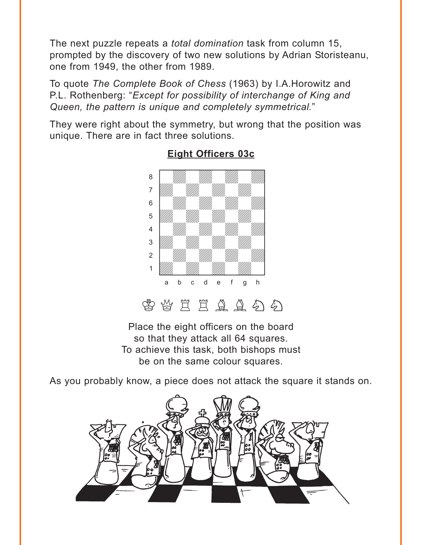<span id="page-1-0"></span>The next puzzle repeats a *total domination* task from column 15, prompted by the discovery of two new solutions by Adrian Storisteanu, one from 1949, the other from 1989.

To quote *The Complete Book of Chess* (1963) by I.A.Horowitz and P.L. Rothenberg: "*Except for possibility of interchange of King and Queen, the pattern is unique and completely symmetrical.*"

They were right about the symmetry, but wrong that the position was unique. There are in fact three solutions.



#### **[Eight Officers 03c](#page-8-0)**

 $\mathcal{B}$  &  $\Xi$   $\Xi$   $\Delta$   $\Delta$   $\varphi$   $\varphi$ 

Place the eight officers on the board so that they attack all 64 squares. To achieve this task, both bishops must be on the same colour squares.

As you probably know, a piece does not attack the square it stands on.

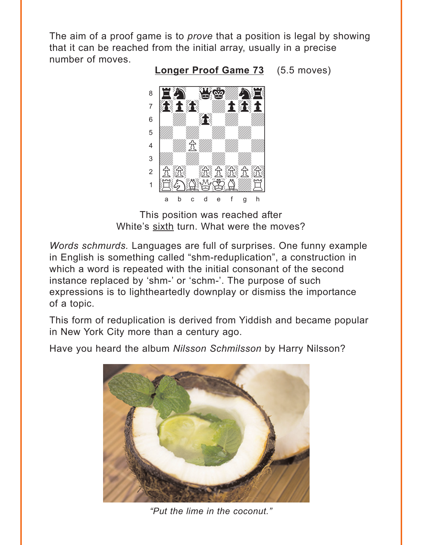<span id="page-2-0"></span>The aim of a proof game is to *prove* that a position is legal by showing that it can be reached from the initial array, usually in a precise number of moves.

**Longer Proof Game 73** (5.5 moves)



This position was reached after White's sixth turn. What were the moves?

*Words schmurds.* Languages are full of surprises. One funny example in English is something called "shm-reduplication", a construction in which a word is repeated with the initial consonant of the second instance replaced by 'shm-' or 'schm-'. The purpose of such expressions is to lightheartedly downplay or dismiss the importance of a topic.

This form of reduplication is derived from Yiddish and became popular in New York City more than a century ago.

Have you heard the album Nilsson Schmilsson by Harry Nilsson?



"Put the lime in the coconut."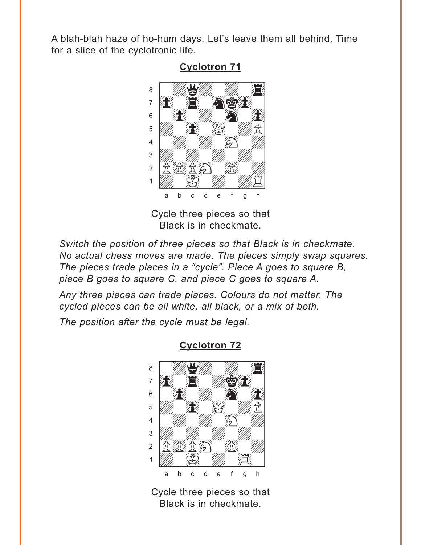<span id="page-3-0"></span>A blah-blah haze of ho-hum days. Let's leave them all behind. Time for a slice of the cyclotronic life.



**Cyclotron 71** 

Cycle three pieces so that Black is in checkmate.

Switch the position of three pieces so that Black is in checkmate. No actual chess moves are made. The pieces simply swap squares. The pieces trade places in a "cycle". Piece A goes to square B, piece B goes to square C, and piece C goes to square A.

Any three pieces can trade places. Colours do not matter. The cycled pieces can be all white, all black, or a mix of both.

The position after the cycle must be legal.



#### **Cyclotron 72**

Cycle three pieces so that Black is in checkmate.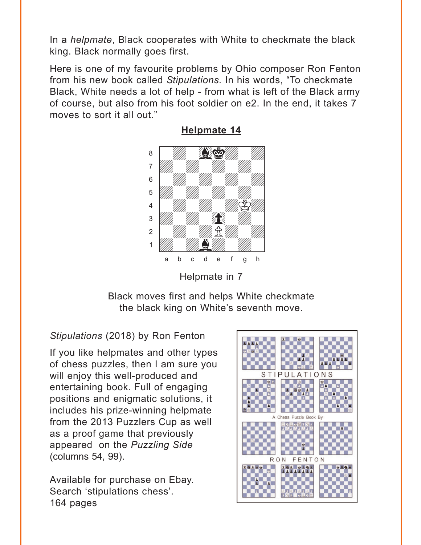<span id="page-4-0"></span>In a *helpmate*, Black cooperates with White to checkmate the black king. Black normally goes first.

Here is one of my favourite problems by Ohio composer Ron Fenton from his new book called *Stipulations.* In his words, "To checkmate Black, White needs a lot of help - from what is left of the Black army of course, but also from his foot soldier on e2. In the end, it takes 7 moves to sort it all out."



**[Helpmate 14](#page-10-0)**

Helpmate in 7

Black moves first and helps White checkmate the black king on White's seventh move.

## *Stipulations* (2018) by Ron Fenton

If you like helpmates and other types of chess puzzles, then I am sure you will enjoy this well-produced and entertaining book. Full of engaging positions and enigmatic solutions, it includes his prize-winning helpmate from the 2013 Puzzlers Cup as well as a proof game that previously appeared on the *Puzzling Side* (columns 54, 99).

Available for purchase on Ebay. Search 'stipulations chess'. 164 pages

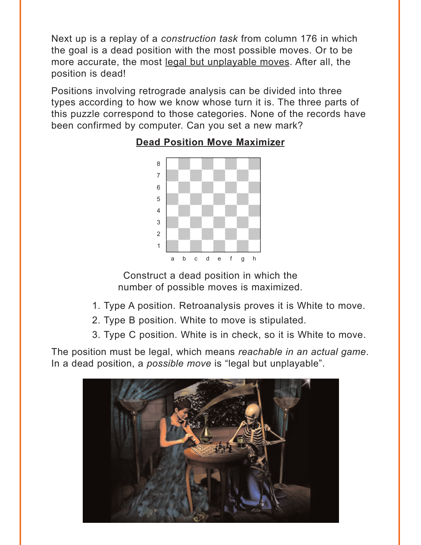<span id="page-5-0"></span>Next up is a replay of a *construction task* from column 176 in which the goal is a dead position with the most possible moves. Or to be more accurate, the most legal but unplayable moves. After all, the position is dead!

Positions involving retrograde analysis can be divided into three types according to how we know whose turn it is. The three parts of this puzzle correspond to those categories. None of the records have been confirmed by computer. Can you set a new mark?



#### **[Dead Position Move Maximizer](#page-11-0)**

Construct a dead position in which the number of possible moves is maximized.

- 1. Type A position. Retroanalysis proves it is White to move.
- 2. Type B position. White to move is stipulated.
- 3. Type C position. White is in check, so it is White to move.

The position must be legal, which means *reachable in an actual game*. In a dead position, a *possible move* is "legal but unplayable".

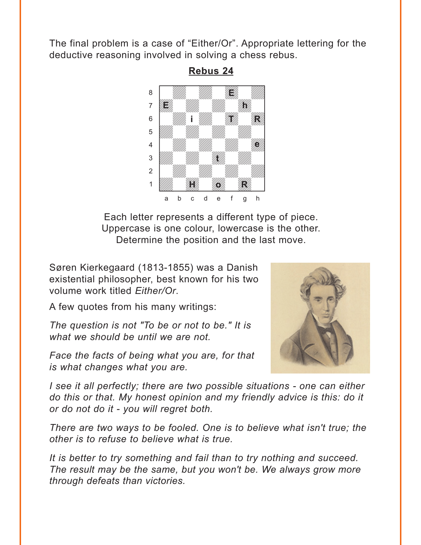<span id="page-6-0"></span>The final problem is a case of "Either/Or". Appropriate lettering for the deductive reasoning involved in solving a chess rebus.



**Rebus 24**

Each letter represents a different type of piece. Uppercase is one colour, lowercase is the other. Determine the position and the last move.

Søren Kierkegaard (1813-1855) was a Danish existential philosopher, best known for his two volume work titled *Either/Or*.

A few quotes from his many writings:

*The question is not "To be or not to be." It is what we should be until we are not.*

*Face the facts of being what you are, for that is what changes what you are.*



*I see it all perfectly; there are two possible situations - one can either do this or that. My honest opinion and my friendly advice is this: do it or do not do it - you will regret both.*

*There are two ways to be fooled. One is to believe what isn't true; the other is to refuse to believe what is true.*

*It is better to try something and fail than to try nothing and succeed. The result may be the same, but you won't be. We always grow more through defeats than victories.*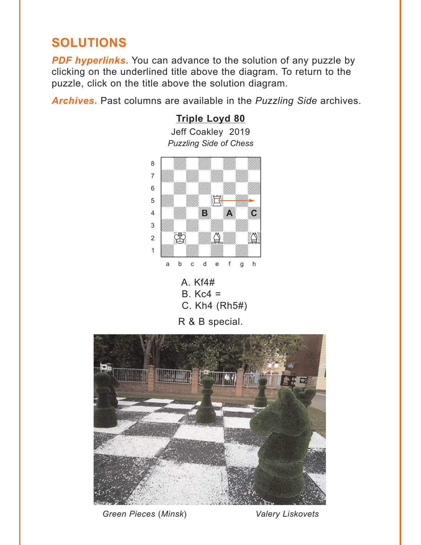# <span id="page-7-0"></span>**SOLUTIONS**

*PDF hyperlinks***.** You can advance to the solution of any puzzle by clicking on the underlined title above the diagram. To return to the puzzle, click on the title above the solution diagram.

*Archives***.** Past columns are available in the *Puzzling Side* archives.

#### *Puzzling Side of Chess* we can be considered to the constant of the constant of the constant of the constant of the constant of the constant of the constant of the constant of the constant of the constant of the constant of the constant of the co a **chunga a chunga a chunga a chunga a chunga a** àdwdwdwdw] 6 William William William William  $\frac{1}{\sqrt{2}}$ 4 William Harry Holden  $\frac{1}{\sqrt{2}}$  $\sim$   $\frac{1}{\sqrt{2}}$ 1 *Udward William William William William William William William William William William William William William W* a b c d e f g h **BACA BACA BACA**





R & B special.



*Green Pieces* (*Minsk*) *Valery Liskovets*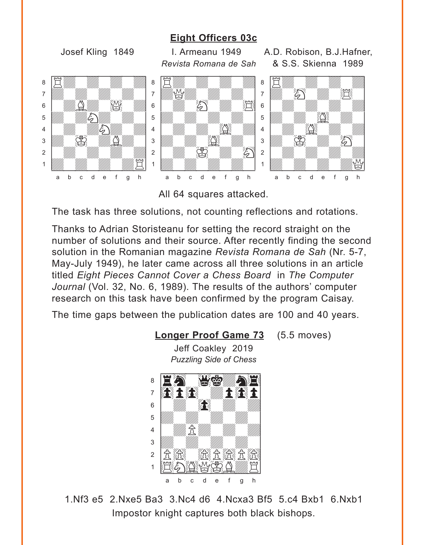#### **[Eight Officers 03c](#page-1-0)**

<span id="page-8-0"></span>Josef Kling 1849 I. Armeanu 1949 A.D. Robison, B.J.Hafner, *Revista Romana de Sah* & S.S. Skienna 1989 where  $\frac{1}{2}$  and  $\frac{1}{2}$  and  $\frac{1}{2}$  and  $\frac{1}{2}$  and  $\frac{1}{2}$ áRdwdwdwd]  $\overline{a}$  and  $\overline{a}$  and  $\overline{a}$  and  $\overline{a}$  and  $\overline{a}$  and  $\overline{a}$  and  $\overline{a}$  and  $\overline{a}$  and  $\overline{a}$  and  $\overline{a}$  and  $\overline{a}$  and  $\overline{a}$  and  $\overline{a}$  and  $\overline{a}$  and  $\overline{a}$  and  $\overline{a}$  and  $\overline{a}$  and  $6$   $\frac{1}{2}$   $\frac{1}{2}$   $\frac{1}{2}$   $\frac{1}{2}$   $\frac{1}{2}$   $\frac{1}{2}$   $\frac{1}{2}$   $\frac{1}{2}$   $\frac{1}{2}$   $\frac{1}{2}$   $\frac{1}{2}$   $\frac{1}{2}$   $\frac{1}{2}$   $\frac{1}{2}$   $\frac{1}{2}$   $\frac{1}{2}$   $\frac{1}{2}$   $\frac{1}{2}$   $\frac{1}{2}$   $\frac{1}{2}$   $\frac{1}{2}$   $\frac{1}{2$  $\frac{1}{2}$  $\frac{4}{100}$  /  $\frac{1}{100}$  /  $\frac{1}{100}$  /  $\frac{1}{100}$  /  $\frac{1}{100}$  /  $\frac{1}{100}$  /  $\frac{1}{100}$  /  $\frac{1}{100}$  /  $\frac{1}{100}$  /  $\frac{1}{100}$  /  $\frac{1}{100}$  /  $\frac{1}{100}$  /  $\frac{1}{100}$  /  $\frac{1}{100}$  /  $\frac{1}{100}$  /  $\frac{1}{100}$  $\frac{1}{\sqrt{2}}$  $\frac{2}{2}$   $\frac{2}{2}$  $\frac{1}{\sqrt{2}}$ a b c d e f g h www.comana ac can áRdwdwdwd]  $\frac{1}{2}$  $\begin{array}{|c|c|c|c|c|}\hline \multicolumn{1}{|c|}{6} & \multicolumn{1}{|c|}{6} \end{array}$  $\frac{1}{2}$  $\frac{4}{3}$   $\frac{1}{3}$   $\frac{1}{3}$   $\frac{1}{3}$   $\frac{1}{3}$   $\frac{1}{3}$   $\frac{1}{3}$   $\frac{1}{3}$   $\frac{1}{3}$   $\frac{1}{3}$   $\frac{1}{3}$   $\frac{1}{3}$   $\frac{1}{3}$   $\frac{1}{3}$   $\frac{1}{3}$   $\frac{1}{3}$   $\frac{1}{3}$   $\frac{1}{3}$   $\frac{1}{3}$   $\frac{1}{3}$   $\frac{1}{3}$   $\frac{1}{3}$   $\frac{3}{2}$   $\frac{1}{2}$   $\frac{1}{2}$   $\frac{1}{2}$   $\frac{1}{2}$   $\frac{1}{2}$   $\frac{1}{2}$   $\frac{1}{2}$   $\frac{1}{2}$   $\frac{1}{2}$   $\frac{1}{2}$   $\frac{1}{2}$   $\frac{1}{2}$   $\frac{1}{2}$   $\frac{1}{2}$   $\frac{1}{2}$   $\frac{1}{2}$   $\frac{1}{2}$   $\frac{1}{2}$   $\frac{1}{2}$   $\frac{1}{2}$   $\frac{1}{2}$   $2$   $\frac{1}{2}$   $2$  $\frac{1}{\sqrt{2}}$ a b c d e f g h  $\sim$  0.0. One may 1000 a E*wa wa wa* m the contract of the contract of the contract of the contract of the contract of the contract of the contract o<br>The contract of the contract of the contract of the contract of the contract of the contract of the contract o 6 **William William William William William William William William William**  $\overline{\mathcal{L}}$ 4 | William Street, 1980  $\overline{S}$   $\overline{B}$ 2 | *William William William William 1* 1 *William William William Company* a b c d e f g h

All 64 squares attacked.

The task has three solutions, not counting reflections and rotations.

Thanks to Adrian Storisteanu for setting the record straight on the number of solutions and their source. After recently finding the second solution in the Romanian magazine *Revista Romana de Sah* (Nr. 5-7, May-July 1949), he later came across all three solutions in an article titled *Eight Pieces Cannot Cover a Chess Board* in *The Computer Journal* (Vol. 32, No. 6, 1989). The results of the authors' computer research on this task have been confirmed by the program Caisay.

The time gaps between the publication dates are 100 and 40 years.

#### **[Longer Proof Game 73](#page-2-0)** (5.5 moves)

Jeff Coakley 2019 *Puzzling Side of Chess* where  $\frac{w}{w}$  and  $\frac{w}{w}$  are  $\frac{w}{w}$  .



1.Nf3 e5 2.Nxe5 Ba3 3.Nc4 d6 4.Ncxa3 Bf5 5.c4 Bxb1 6.Nxb1 Impostor knight captures both black bishops.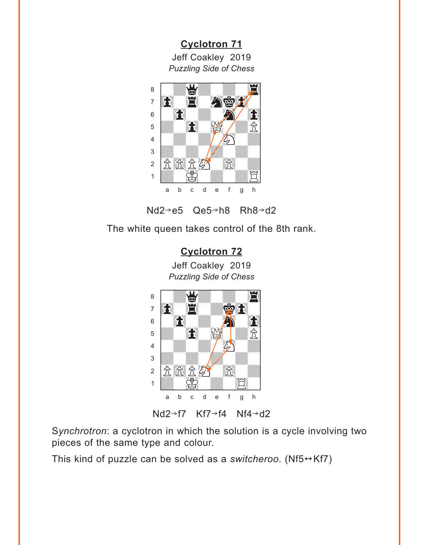**[Cyclotron 71](#page-3-0)** Jeff Coakley 2019 *Puzzling Side of Chess*

<span id="page-9-0"></span>



The white queen takes control of the 8th rank.



Nd2 $\rightarrow$ f7 Kf7 $\rightarrow$ f4 Nf4 $\rightarrow$ d2

S*ynchrotron*: a cyclotron in which the solution is a cycle involving two pieces of the same type and colour.

This kind of puzzle can be solved as a *switcheroo*. (Nf5 $\leftrightarrow$ Kf7)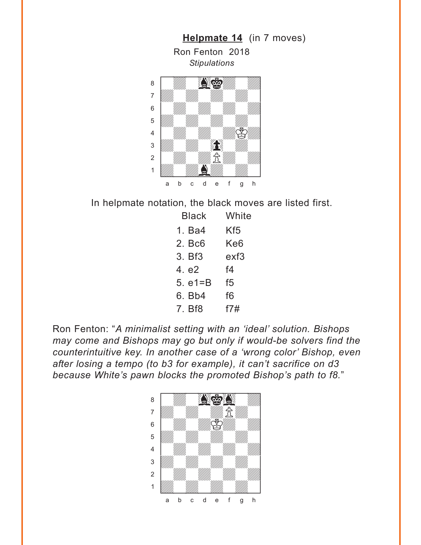<span id="page-10-0"></span>

In helpmate notation, the black moves are listed first.

| Black       | White |
|-------------|-------|
| 1. Ba4      | Kf5   |
| 2. Bc6      | Ke6   |
| 3. Bf3      | exf3  |
| 4. e2       | f4    |
| 5. $e1 = B$ | f5    |
| 6. Bb4      | f6    |
| 7. Bf8      | f7#   |

Ron Fenton: "*A minimalist setting with an 'ideal' solution. Bishops may come and Bishops may go but only if would-be solvers find the counterintuitive key. In another case of a 'wrong color' Bishop, even after losing a tempo (to b3 for example), it can't sacrifice on d3 because White's pawn blocks the promoted Bishop's path to f8.*"

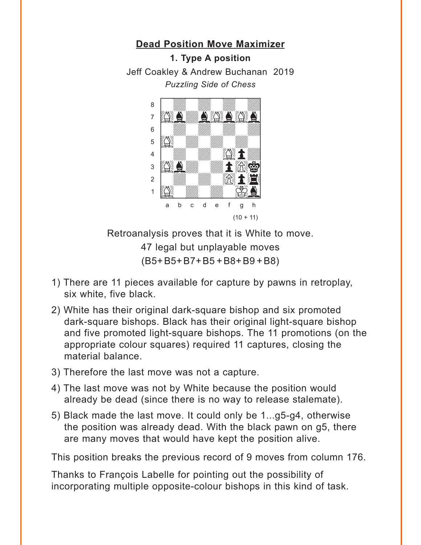## <span id="page-11-0"></span>**[Dead Position Move Maximizer](#page-5-0) 1. Type A position** Jeff Coakley & Andrew Buchanan 2019 *Puzzling Side of Chess*



Retroanalysis proves that it is White to move.

47 legal but unplayable moves (B5+B5+B7+B5 +B8+B9 +B8)

- 1) There are 11 pieces available for capture by pawns in retroplay, six white, five black.
- 2) White has their original dark-square bishop and six promoted dark-square bishops. Black has their original light-square bishop and five promoted light-square bishops. The 11 promotions (on the appropriate colour squares) required 11 captures, closing the material balance.
- 3) Therefore the last move was not a capture.
- 4) The last move was not by White because the position would already be dead (since there is no way to release stalemate).
- 5) Black made the last move. It could only be 1...g5-g4, otherwise the position was already dead. With the black pawn on g5, there are many moves that would have kept the position alive.

This position breaks the previous record of 9 moves from column 176.

Thanks to François Labelle for pointing out the possibility of incorporating multiple opposite-colour bishops in this kind of task.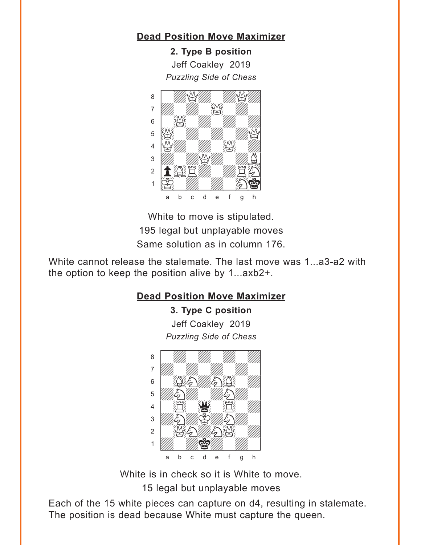### **Dead Position Move Maximizer**

2. Type B position Jeff Coakley 2019 **Puzzling Side of Chess** 



White to move is stipulated. 195 legal but unplayable moves Same solution as in column 176.

White cannot release the stalemate. The last move was 1...a3-a2 with the option to keep the position alive by 1...axb2+.

### **Dead Position Move Maximizer**

3. Type C position Jeff Coakley 2019 **Puzzling Side of Chess** 



White is in check so it is White to move. 15 legal but unplayable moves

Each of the 15 white pieces can capture on d4, resulting in stalemate. The position is dead because White must capture the queen.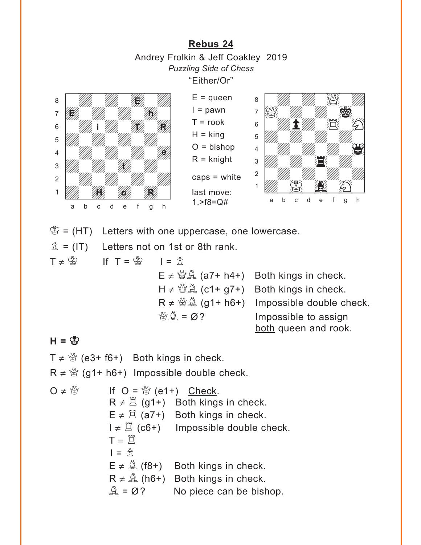**[Rebus 24](#page-6-0)** Andrey Frolkin & Jeff Coakley 2019 *Puzzling Side of Chess* "Either/Or"

<span id="page-13-0"></span>

 $\mathcal{B} = (HT)$  Letters with one uppercase, one lowercase.

 $\hat{\mathbb{Z}}$  = (IT) Letters not on 1st or 8th rank.

 $T \neq \overset{\circ}{\mathbb{E}}$  If  $T = \overset{\circ}{\mathbb{E}}$  I =  $\overset{\circ}{\mathbb{E}}$  $E \neq \frac{M_0}{2}$  (a7+ h4+) Both kings in check.  $H \neq \mathcal{B}(\& \mathcal{A})$  (c1+ g7+) Both kings in check.  $R \neq \mathcal{B}(\mathcal{A})$  (g1+ h6+) Impossible double check.  $\mathbb{Q} \triangleq = \emptyset$ ? Impossible to assign both queen and rook.

#### $H = \frac{M}{2}$

 $T \neq \frac{M}{Q}$  (e3+ f6+) Both kings in check.

 $R \neq \mathcal{Q}$  (g1+ h6+) Impossible double check.

O ≠  $\mathbb{Q}$  if O =  $\mathbb{Q}$  (e1+) Check.  $R \neq \mathbb{Z}$  (g1+) Both kings in check.  $E \neq \Xi$  (a7+) Both kings in check.  $I \neq \Xi$  (c6+) Impossible double check.  $T = \overline{\Xi}$  $I = \mathbb{R}$  $E \neq \mathbb{A}$  (f8+) Both kings in check.  $R \neq \hat{A}$  (h6+) Both kings in check.  $\mathbb{Q} = \emptyset$ ? No piece can be bishop.